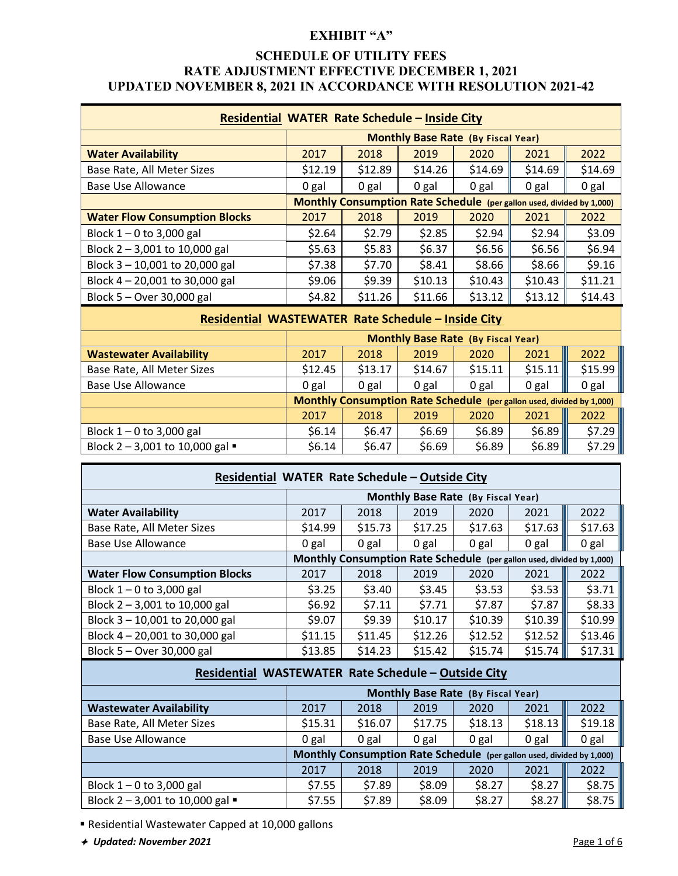# **SCHEDULE OF UTILITY FEES RATE ADJUSTMENT EFFECTIVE DECEMBER 1, 2021 UPDATED NOVEMBER 8, 2021 IN ACCORDANCE WITH RESOLUTION 2021-42**

| Residential WATER Rate Schedule - Inside City |         |                                                                       |         |         |         |         |
|-----------------------------------------------|---------|-----------------------------------------------------------------------|---------|---------|---------|---------|
| <b>Monthly Base Rate (By Fiscal Year)</b>     |         |                                                                       |         |         |         |         |
| <b>Water Availability</b>                     | 2017    | 2018                                                                  | 2019    | 2020    | 2021    | 2022    |
| Base Rate, All Meter Sizes                    | \$12.19 | \$12.89                                                               | \$14.26 | \$14.69 | \$14.69 | \$14.69 |
| <b>Base Use Allowance</b>                     | 0 gal   | 0 gal                                                                 | 0 gal   | 0 gal   | 0 gal   | 0 gal   |
|                                               |         | Monthly Consumption Rate Schedule (per gallon used, divided by 1,000) |         |         |         |         |
| <b>Water Flow Consumption Blocks</b>          | 2017    | 2018                                                                  | 2019    | 2020    | 2021    | 2022    |
| Block $1 - 0$ to 3,000 gal                    | \$2.64  | \$2.79                                                                | \$2.85  | \$2.94  | \$2.94  | \$3.09  |
| Block 2 - 3,001 to 10,000 gal                 | \$5.63  | \$5.83                                                                | \$6.37  | \$6.56  | \$6.56  | \$6.94  |
| Block 3 - 10,001 to 20,000 gal                | \$7.38  | \$7.70                                                                | \$8.41  | \$8.66  | \$8.66  | \$9.16  |
| Block 4 - 20,001 to 30,000 gal                | \$9.06  | \$9.39                                                                | \$10.13 | \$10.43 | \$10.43 | \$11.21 |
| Block 5 - Over 30,000 gal                     | \$4.82  | \$11.26                                                               | \$11.66 | \$13.12 | \$13.12 | \$14.43 |

#### **Residential WASTEWATER Rate Schedule – Inside City**

|                                                | <b>Monthly Base Rate (By Fiscal Year)</b> |         |         |         |                                                                       |         |  |
|------------------------------------------------|-------------------------------------------|---------|---------|---------|-----------------------------------------------------------------------|---------|--|
| <b>Wastewater Availability</b>                 | 2017                                      | 2018    | 2019    | 2020    | 2021                                                                  | 2022    |  |
| Base Rate, All Meter Sizes                     | \$12.45                                   | \$13.17 | \$14.67 | \$15.11 | \$15.11                                                               | \$15.99 |  |
| Base Use Allowance                             | 0 gal                                     | 0 gal   | 0 gal   | 0 gal   | 0 gal                                                                 | 0 gal   |  |
|                                                |                                           |         |         |         | Monthly Consumption Rate Schedule (per gallon used, divided by 1,000) |         |  |
|                                                | 2017                                      | 2018    | 2019    | 2020    | 2021                                                                  | 2022    |  |
| Block $1 - 0$ to 3,000 gal                     | \$6.14                                    | \$6.47  | \$6.69  | \$6.89  | \$6.89                                                                | \$7.29  |  |
| Block $2 - 3,001$ to 10,000 gal $\blacksquare$ | \$6.14                                    | \$6.47  | \$6.69  | \$6.89  | \$6.89                                                                | \$7.29  |  |

| Residential WATER Rate Schedule - Outside City |                                    |         |                                                                       |         |         |         |  |
|------------------------------------------------|------------------------------------|---------|-----------------------------------------------------------------------|---------|---------|---------|--|
|                                                | Monthly Base Rate (By Fiscal Year) |         |                                                                       |         |         |         |  |
| <b>Water Availability</b>                      | 2017                               | 2018    | 2019                                                                  | 2020    | 2021    | 2022    |  |
| Base Rate, All Meter Sizes                     | \$14.99                            | \$15.73 | \$17.25                                                               | \$17.63 | \$17.63 | \$17.63 |  |
| <b>Base Use Allowance</b>                      | 0 gal                              | 0 gal   | 0 gal                                                                 | 0 gal   | 0 gal   | 0 gal   |  |
|                                                |                                    |         | Monthly Consumption Rate Schedule (per gallon used, divided by 1,000) |         |         |         |  |
| <b>Water Flow Consumption Blocks</b>           | 2017                               | 2018    | 2019                                                                  | 2020    | 2021    | 2022    |  |
| Block $1 - 0$ to 3,000 gal                     | \$3.25                             | \$3.40  | \$3.45                                                                | \$3.53  | \$3.53  | \$3.71  |  |
| Block $2 - 3,001$ to 10,000 gal                | \$6.92                             | \$7.11  | \$7.71                                                                | \$7.87  | \$7.87  | \$8.33  |  |
| Block 3 - 10,001 to 20,000 gal                 | \$9.07                             | \$9.39  | \$10.17                                                               | \$10.39 | \$10.39 | \$10.99 |  |
| Block $4 - 20,001$ to 30,000 gal               | \$11.15                            | \$11.45 | \$12.26                                                               | \$12.52 | \$12.52 | \$13.46 |  |
| Block $5 -$ Over 30,000 gal                    | \$13.85                            | \$14.23 | \$15.42                                                               | \$15.74 | \$15.74 | \$17.31 |  |

# **Residential WASTEWATER Rate Schedule – Outside City**

|                                                | Monthly Base Rate (By Fiscal Year) |         |         |         |                                                                       |         |
|------------------------------------------------|------------------------------------|---------|---------|---------|-----------------------------------------------------------------------|---------|
| <b>Wastewater Availability</b>                 | 2017                               | 2018    | 2019    | 2020    | 2021                                                                  | 2022    |
| Base Rate, All Meter Sizes                     | \$15.31                            | \$16.07 | \$17.75 | \$18.13 | \$18.13                                                               | \$19.18 |
| Base Use Allowance                             | 0 gal                              | 0 gal   | 0 gal   | 0 gal   | 0 gal                                                                 | 0 gal   |
|                                                |                                    |         |         |         | Monthly Consumption Rate Schedule (per gallon used, divided by 1,000) |         |
|                                                | 2017                               | 2018    | 2019    | 2020    | 2021                                                                  | 2022    |
| Block $1 - 0$ to 3,000 gal                     | \$7.55                             | \$7.89  | \$8.09  | \$8.27  | \$8.27                                                                | \$8.75  |
| Block $2 - 3,001$ to 10,000 gal $\blacksquare$ | \$7.55                             | \$7.89  | \$8.09  | \$8.27  | \$8.27                                                                | \$8.75  |

Residential Wastewater Capped at 10,000 gallons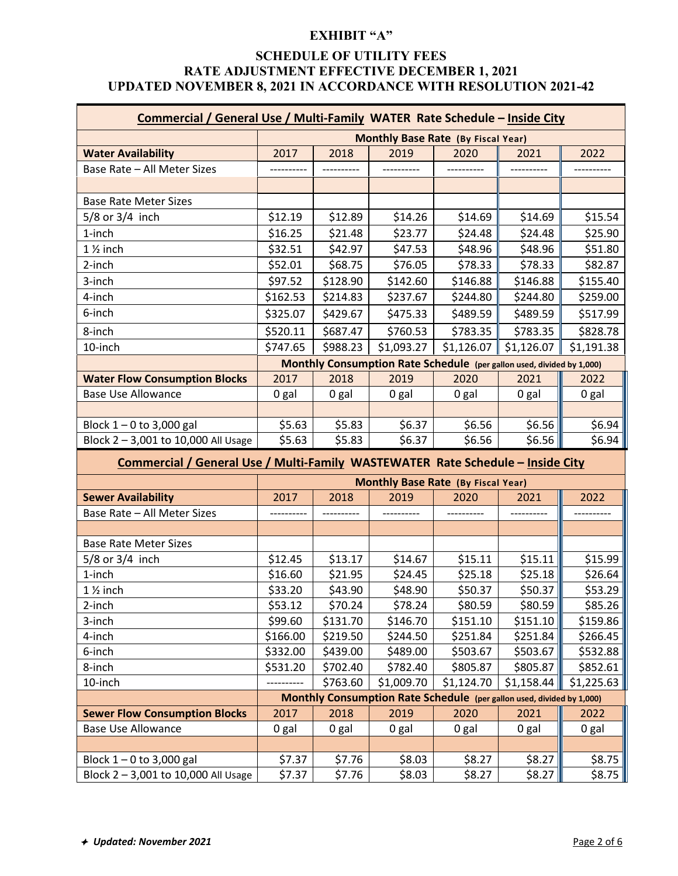# **SCHEDULE OF UTILITY FEES RATE ADJUSTMENT EFFECTIVE DECEMBER 1, 2021 UPDATED NOVEMBER 8, 2021 IN ACCORDANCE WITH RESOLUTION 2021-42**

| Commercial / General Use / Multi-Family WATER Rate Schedule - Inside City      |                                                                       |          |                                                                       |            |            |            |
|--------------------------------------------------------------------------------|-----------------------------------------------------------------------|----------|-----------------------------------------------------------------------|------------|------------|------------|
|                                                                                |                                                                       |          | <b>Monthly Base Rate (By Fiscal Year)</b>                             |            |            |            |
| <b>Water Availability</b>                                                      | 2017                                                                  | 2018     | 2019                                                                  | 2020       | 2021       | 2022       |
| Base Rate - All Meter Sizes                                                    |                                                                       |          |                                                                       |            |            |            |
|                                                                                |                                                                       |          |                                                                       |            |            |            |
| <b>Base Rate Meter Sizes</b>                                                   |                                                                       |          |                                                                       |            |            |            |
| $5/8$ or $3/4$ inch                                                            | \$12.19                                                               | \$12.89  | \$14.26                                                               | \$14.69    | \$14.69    | \$15.54    |
| 1-inch                                                                         | \$16.25                                                               | \$21.48  | \$23.77                                                               | \$24.48    | \$24.48    | \$25.90    |
| 1 1/ <sub>2</sub> inch                                                         | \$32.51                                                               | \$42.97  | \$47.53                                                               | \$48.96    | \$48.96    | \$51.80    |
| 2-inch                                                                         | \$52.01                                                               | \$68.75  | \$76.05                                                               | \$78.33    | \$78.33    | \$82.87    |
| 3-inch                                                                         | \$97.52                                                               | \$128.90 | \$142.60                                                              | \$146.88   | \$146.88   | \$155.40   |
| 4-inch                                                                         | \$162.53                                                              | \$214.83 | \$237.67                                                              | \$244.80   | \$244.80   | \$259.00   |
| 6-inch                                                                         | \$325.07                                                              | \$429.67 | \$475.33                                                              | \$489.59   | \$489.59   | \$517.99   |
| 8-inch                                                                         | \$520.11                                                              | \$687.47 | \$760.53                                                              | \$783.35   | \$783.35   | \$828.78   |
| 10-inch                                                                        | \$747.65                                                              | \$988.23 | \$1,093.27                                                            | \$1,126.07 | \$1,126.07 | \$1,191.38 |
|                                                                                | Monthly Consumption Rate Schedule (per gallon used, divided by 1,000) |          |                                                                       |            |            |            |
| <b>Water Flow Consumption Blocks</b>                                           | 2017                                                                  | 2018     | 2019                                                                  | 2020       | 2021       | 2022       |
| <b>Base Use Allowance</b>                                                      | 0 gal                                                                 | 0 gal    | 0 gal                                                                 | 0 gal      | 0 gal      | 0 gal      |
|                                                                                |                                                                       |          |                                                                       |            |            |            |
| Block $1 - 0$ to 3,000 gal                                                     | \$5.63                                                                | \$5.83   | \$6.37                                                                | \$6.56     | \$6.56     | \$6.94     |
| Block 2-3,001 to 10,000 All Usage                                              | \$5.63                                                                | \$5.83   | \$6.37                                                                | \$6.56     | \$6.56     | \$6.94     |
| Commercial / General Use / Multi-Family WASTEWATER Rate Schedule - Inside City |                                                                       |          |                                                                       |            |            |            |
|                                                                                |                                                                       |          | <b>Monthly Base Rate (By Fiscal Year)</b>                             |            |            |            |
| <b>Sewer Availability</b>                                                      | 2017                                                                  | 2018     | 2019                                                                  | 2020       | 2021       | 2022       |
| Base Rate - All Meter Sizes                                                    |                                                                       |          |                                                                       |            |            |            |
|                                                                                |                                                                       |          |                                                                       |            |            |            |
| <b>Base Rate Meter Sizes</b>                                                   |                                                                       |          |                                                                       |            |            |            |
| $5/8$ or $3/4$ inch                                                            | \$12.45                                                               | \$13.17  | \$14.67                                                               | \$15.11    | \$15.11    | \$15.99    |
| 1-inch                                                                         | \$16.60                                                               | \$21.95  | \$24.45                                                               | \$25.18    | \$25.18    | \$26.64    |
| $1\frac{1}{2}$ inch                                                            | \$33.20                                                               | \$43.90  | \$48.90                                                               | \$50.37    | \$50.37    | \$53.29    |
| 2-inch                                                                         | \$53.12                                                               | \$70.24  | \$78.24                                                               | \$80.59    | \$80.59    | \$85.26    |
| 3-inch                                                                         | \$99.60                                                               | \$131.70 | \$146.70                                                              | \$151.10   | \$151.10   | \$159.86   |
| 4-inch                                                                         | \$166.00                                                              | \$219.50 | \$244.50                                                              | \$251.84   | \$251.84   | \$266.45   |
| 6-inch                                                                         | \$332.00                                                              | \$439.00 | \$489.00                                                              | \$503.67   | \$503.67   | \$532.88   |
| 8-inch                                                                         | \$531.20                                                              | \$702.40 | \$782.40                                                              | \$805.87   | \$805.87   | \$852.61   |
| 10-inch                                                                        |                                                                       | \$763.60 | \$1,009.70                                                            | \$1,124.70 | \$1,158.44 | \$1,225.63 |
|                                                                                |                                                                       |          | Monthly Consumption Rate Schedule (per gallon used, divided by 1,000) |            |            |            |
| <b>Sewer Flow Consumption Blocks</b>                                           | 2017                                                                  | 2018     | 2019                                                                  | 2020       | 2021       | 2022       |
| <b>Base Use Allowance</b>                                                      | 0 gal                                                                 | 0 gal    | 0 gal                                                                 | 0 gal      | 0 gal      | 0 gal      |
|                                                                                |                                                                       |          |                                                                       |            |            |            |
| Block $1 - 0$ to 3,000 gal                                                     | \$7.37                                                                | \$7.76   | \$8.03                                                                | \$8.27     | \$8.27     | \$8.75     |
| Block 2-3,001 to 10,000 All Usage                                              | \$7.37                                                                | \$7.76   | \$8.03                                                                | \$8.27     | \$8.27     | \$8.75     |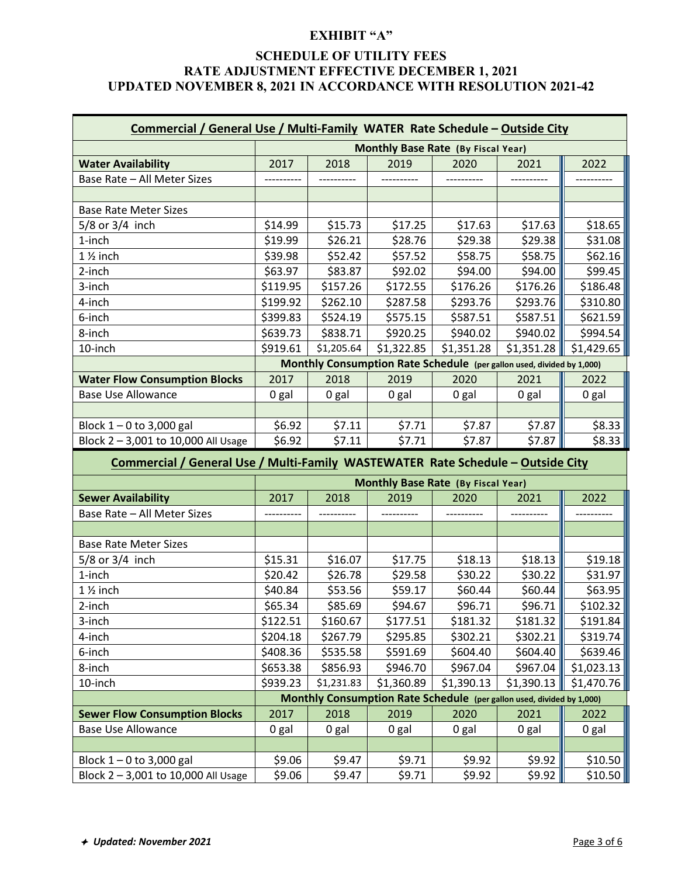# **SCHEDULE OF UTILITY FEES RATE ADJUSTMENT EFFECTIVE DECEMBER 1, 2021 UPDATED NOVEMBER 8, 2021 IN ACCORDANCE WITH RESOLUTION 2021-42**

| Commercial / General Use / Multi-Family WATER Rate Schedule - Outside City      |                  |            |                                                                       |            |                  |            |
|---------------------------------------------------------------------------------|------------------|------------|-----------------------------------------------------------------------|------------|------------------|------------|
|                                                                                 |                  |            | <b>Monthly Base Rate (By Fiscal Year)</b>                             |            |                  |            |
| <b>Water Availability</b>                                                       | 2017             | 2018       | 2019                                                                  | 2020       | 2021             | 2022       |
| Base Rate - All Meter Sizes                                                     |                  |            |                                                                       |            |                  |            |
|                                                                                 |                  |            |                                                                       |            |                  |            |
| <b>Base Rate Meter Sizes</b>                                                    |                  |            |                                                                       |            |                  |            |
| $5/8$ or $3/4$ inch                                                             | \$14.99          | \$15.73    | \$17.25                                                               | \$17.63    | \$17.63          | \$18.65    |
| 1-inch                                                                          | \$19.99          | \$26.21    | \$28.76                                                               | \$29.38    | \$29.38          | \$31.08    |
| 1 1/ <sub>2</sub> inch                                                          | \$39.98          | \$52.42    | \$57.52                                                               | \$58.75    | \$58.75          | \$62.16    |
| 2-inch                                                                          | \$63.97          | \$83.87    | \$92.02                                                               | \$94.00    | \$94.00          | \$99.45    |
| 3-inch                                                                          | \$119.95         | \$157.26   | \$172.55                                                              | \$176.26   | \$176.26         | \$186.48   |
| 4-inch                                                                          | \$199.92         | \$262.10   | \$287.58                                                              | \$293.76   | \$293.76         | \$310.80   |
| 6-inch                                                                          | \$399.83         | \$524.19   | \$575.15                                                              | \$587.51   | \$587.51         | \$621.59   |
| 8-inch                                                                          | \$639.73         | \$838.71   | \$920.25                                                              | \$940.02   | \$940.02         | \$994.54   |
| 10-inch                                                                         | \$919.61         | \$1,205.64 | \$1,322.85                                                            | \$1,351.28 | \$1,351.28       | \$1,429.65 |
|                                                                                 |                  |            | Monthly Consumption Rate Schedule (per gallon used, divided by 1,000) |            |                  |            |
| <b>Water Flow Consumption Blocks</b>                                            | 2017             | 2018       | 2019                                                                  | 2020       | 2021             | 2022       |
| <b>Base Use Allowance</b>                                                       | 0 gal            | 0 gal      | 0 gal                                                                 | 0 gal      | 0 gal            | 0 gal      |
|                                                                                 |                  |            |                                                                       |            |                  |            |
| Block $1 - 0$ to 3,000 gal                                                      | \$6.92           | \$7.11     | \$7.71                                                                | \$7.87     | \$7.87           | \$8.33     |
| Block 2-3,001 to 10,000 All Usage                                               | \$6.92           | \$7.11     | \$7.71                                                                | \$7.87     | \$7.87           | \$8.33     |
| Commercial / General Use / Multi-Family WASTEWATER Rate Schedule - Outside City |                  |            |                                                                       |            |                  |            |
|                                                                                 |                  |            |                                                                       |            |                  |            |
|                                                                                 |                  |            | <b>Monthly Base Rate (By Fiscal Year)</b>                             |            |                  |            |
| <b>Sewer Availability</b>                                                       | 2017             | 2018       | 2019                                                                  | 2020       | 2021             | 2022       |
| Base Rate - All Meter Sizes                                                     |                  |            |                                                                       |            |                  |            |
|                                                                                 |                  |            |                                                                       |            |                  |            |
| <b>Base Rate Meter Sizes</b>                                                    |                  |            |                                                                       |            |                  |            |
| $5/8$ or $3/4$ inch                                                             | \$15.31          | \$16.07    | \$17.75                                                               | \$18.13    | \$18.13          | \$19.18    |
| 1-inch                                                                          | \$20.42          | \$26.78    | \$29.58                                                               | \$30.22    | \$30.22          | \$31.97    |
| $1\frac{1}{2}$ inch                                                             | \$40.84          | \$53.56    | \$59.17                                                               | \$60.44    | \$60.44          | \$63.95    |
| 2-inch                                                                          | \$65.34          | \$85.69    | \$94.67                                                               | \$96.71    | \$96.71          | \$102.32   |
| 3-inch                                                                          | \$122.51         | \$160.67   | \$177.51                                                              | \$181.32   | \$181.32         | \$191.84   |
| 4-inch                                                                          | \$204.18         | \$267.79   | \$295.85                                                              | \$302.21   | \$302.21         | \$319.74   |
| 6-inch                                                                          | \$408.36         | \$535.58   | \$591.69                                                              | \$604.40   | \$604.40         | \$639.46   |
| 8-inch                                                                          | \$653.38         | \$856.93   | \$946.70                                                              | \$967.04   | \$967.04         | \$1,023.13 |
| 10-inch                                                                         | \$939.23         | \$1,231.83 | \$1,360.89                                                            | \$1,390.13 | \$1,390.13       | \$1,470.76 |
|                                                                                 |                  |            | Monthly Consumption Rate Schedule (per gallon used, divided by 1,000) |            |                  |            |
| <b>Sewer Flow Consumption Blocks</b>                                            | 2017             | 2018       | 2019                                                                  | 2020       | 2021             | 2022       |
| <b>Base Use Allowance</b>                                                       | 0 gal            | 0 gal      | 0 gal                                                                 | 0 gal      | 0 gal            | 0 gal      |
|                                                                                 |                  |            |                                                                       |            |                  |            |
| Block $1 - 0$ to 3,000 gal                                                      | \$9.06<br>\$9.06 | \$9.47     | \$9.71                                                                | \$9.92     | \$9.92<br>\$9.92 | \$10.50    |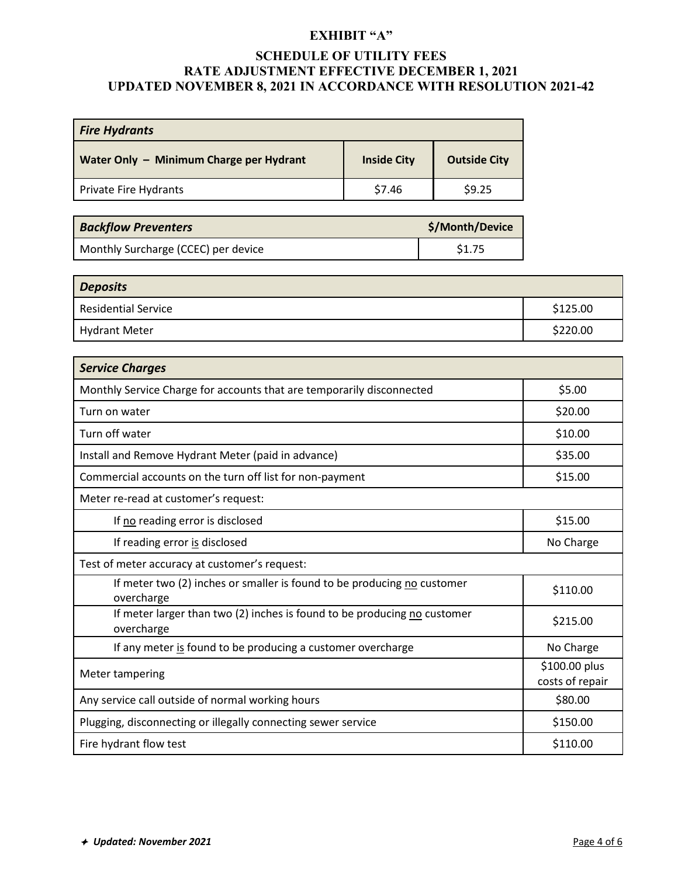# **SCHEDULE OF UTILITY FEES RATE ADJUSTMENT EFFECTIVE DECEMBER 1, 2021 UPDATED NOVEMBER 8, 2021 IN ACCORDANCE WITH RESOLUTION 2021-42**

| <b>Fire Hydrants</b>                    |                    |                     |  |  |  |
|-----------------------------------------|--------------------|---------------------|--|--|--|
| Water Only - Minimum Charge per Hydrant | <b>Inside City</b> | <b>Outside City</b> |  |  |  |
| Private Fire Hydrants                   | \$7.46             | \$9.25              |  |  |  |

| <b>Backflow Preventers</b>          | \$/Month/Device |
|-------------------------------------|-----------------|
| Monthly Surcharge (CCEC) per device | \$1.75          |

| <b>Deposits</b>            |          |
|----------------------------|----------|
| <b>Residential Service</b> | \$125.00 |
| Hydrant Meter              | \$220.00 |

| <b>Service Charges</b>                                                                 |                                  |
|----------------------------------------------------------------------------------------|----------------------------------|
| Monthly Service Charge for accounts that are temporarily disconnected                  | \$5.00                           |
| Turn on water                                                                          | \$20.00                          |
| Turn off water                                                                         | \$10.00                          |
| Install and Remove Hydrant Meter (paid in advance)                                     | \$35.00                          |
| Commercial accounts on the turn off list for non-payment                               | \$15.00                          |
| Meter re-read at customer's request:                                                   |                                  |
| If no reading error is disclosed                                                       | \$15.00                          |
| If reading error is disclosed                                                          | No Charge                        |
| Test of meter accuracy at customer's request:                                          |                                  |
| If meter two (2) inches or smaller is found to be producing no customer<br>overcharge  | \$110.00                         |
| If meter larger than two (2) inches is found to be producing no customer<br>overcharge | \$215.00                         |
| If any meter is found to be producing a customer overcharge                            | No Charge                        |
| Meter tampering                                                                        | \$100.00 plus<br>costs of repair |
| Any service call outside of normal working hours                                       | \$80.00                          |
| Plugging, disconnecting or illegally connecting sewer service                          | \$150.00                         |
| Fire hydrant flow test                                                                 | \$110.00                         |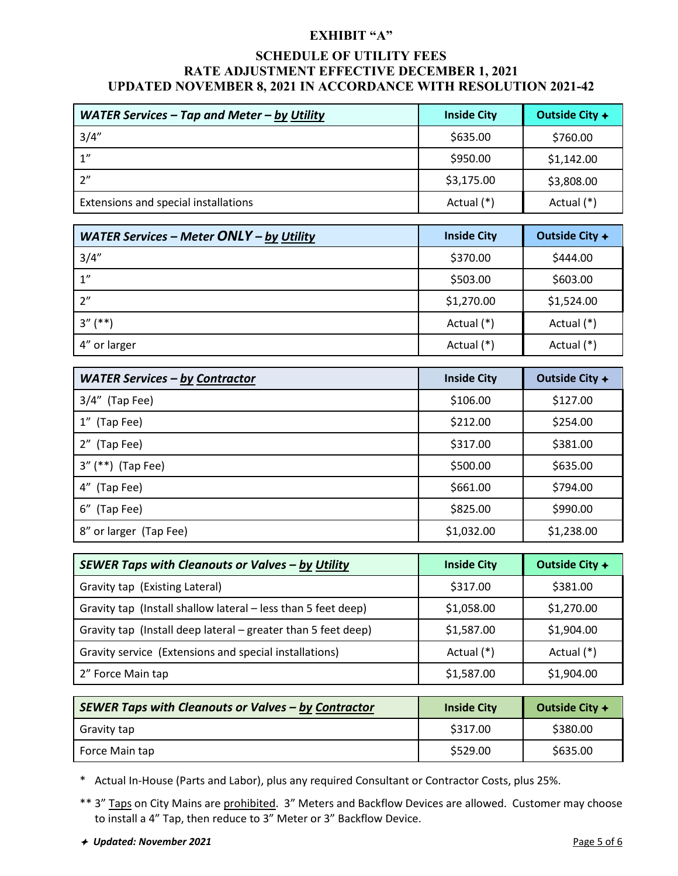## **SCHEDULE OF UTILITY FEES RATE ADJUSTMENT EFFECTIVE DECEMBER 1, 2021 UPDATED NOVEMBER 8, 2021 IN ACCORDANCE WITH RESOLUTION 2021-42**

| <b>WATER Services – Tap and Meter – by Utility</b> | <b>Inside City</b> | Outside City $+$ |
|----------------------------------------------------|--------------------|------------------|
| 3/4''                                              | \$635.00           | \$760.00         |
| 1"                                                 | \$950.00           | \$1,142.00       |
| 2"                                                 | \$3,175.00         | \$3,808.00       |
| Extensions and special installations               | Actual (*)         | Actual (*)       |

| WATER Services - Meter ONLY - by Utility | <b>Inside City</b> | Outside City $+$ |
|------------------------------------------|--------------------|------------------|
| 3/4''                                    | \$370.00           | \$444.00         |
| $1^{\prime\prime}$                       | \$503.00           | \$603.00         |
| 2"                                       | \$1,270.00         | \$1,524.00       |
| $3''$ (**)                               | Actual (*)         | Actual (*)       |
| 4" or larger                             | Actual (*)         | Actual (*)       |

| <b>WATER Services - by Contractor</b> | <b>Inside City</b> | Outside City $+$ |  |
|---------------------------------------|--------------------|------------------|--|
| $3/4''$ (Tap Fee)                     | \$106.00           | \$127.00         |  |
| 1" (Tap Fee)                          | \$212.00           | \$254.00         |  |
| 2" (Tap Fee)                          | \$317.00           | \$381.00         |  |
| 3" (**) (Tap Fee)                     | \$500.00           | \$635.00         |  |
| 4" (Tap Fee)                          | \$661.00           | \$794.00         |  |
| 6" (Tap Fee)                          | \$825.00           | \$990.00         |  |
| 8" or larger (Tap Fee)                | \$1,032.00         | \$1,238.00       |  |

| SEWER Taps with Cleanouts or Valves - by Utility              | <b>Inside City</b> | Outside City $+$ |
|---------------------------------------------------------------|--------------------|------------------|
| Gravity tap (Existing Lateral)                                | \$317.00           | \$381.00         |
| Gravity tap (Install shallow lateral - less than 5 feet deep) | \$1,058.00         | \$1,270.00       |
| Gravity tap (Install deep lateral – greater than 5 feet deep) | \$1,587.00         | \$1,904.00       |
| Gravity service (Extensions and special installations)        | Actual (*)         | Actual (*)       |
| 2" Force Main tap                                             | \$1,587.00         | \$1,904.00       |

| <b>SEWER Taps with Cleanouts or Valves - by Contractor</b> | <b>Inside City</b> | Outside City $+$ |  |
|------------------------------------------------------------|--------------------|------------------|--|
| Gravity tap                                                | \$317.00           | \$380.00         |  |
| Force Main tap                                             | \$529.00           | \$635.00         |  |

\* Actual In-House (Parts and Labor), plus any required Consultant or Contractor Costs, plus 25%.

- \*\* 3" Taps on City Mains are prohibited. 3" Meters and Backflow Devices are allowed. Customer may choose to install a 4" Tap, then reduce to 3" Meter or 3" Backflow Device.
- *★ Updated: November 2021* Page 5 of 6